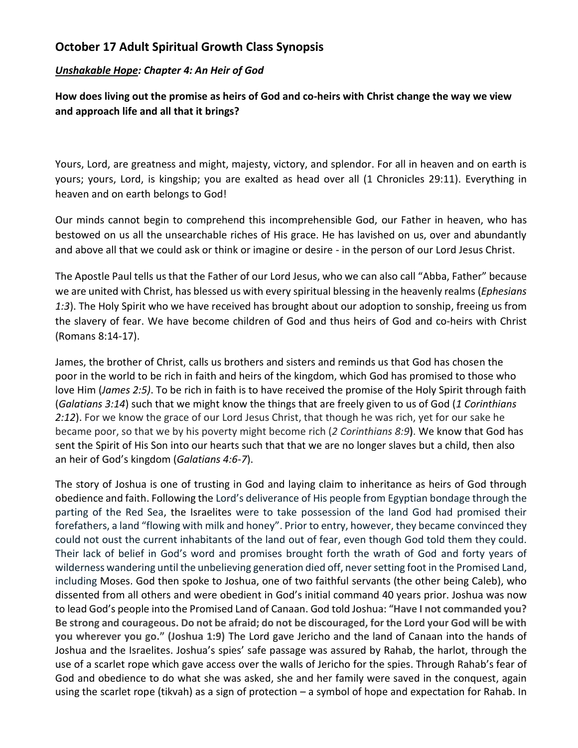## **October 17 Adult Spiritual Growth Class Synopsis**

## *Unshakable Hope: Chapter 4: An Heir of God*

**How does living out the promise as heirs of God and co-heirs with Christ change the way we view and approach life and all that it brings?**

Yours, Lord, are greatness and might, majesty, victory, and splendor. For all in heaven and on earth is yours; yours, Lord, is kingship; you are exalted as head over all (1 Chronicles 29:11). Everything in heaven and on earth belongs to God!

Our minds cannot begin to comprehend this incomprehensible God, our Father in heaven, who has bestowed on us all the unsearchable riches of His grace. He has lavished on us, over and abundantly and above all that we could ask or think or imagine or desire - in the person of our Lord Jesus Christ.

The Apostle Paul tells us that the Father of our Lord Jesus, who we can also call "Abba, Father" because we are united with Christ, has blessed us with every spiritual blessing in the heavenly realms (*Ephesians 1:3*). The Holy Spirit who we have received has brought about our adoption to sonship, freeing us from the slavery of fear. We have become children of God and thus heirs of God and co-heirs with Christ (Romans 8:14-17).

James, the brother of Christ, calls us brothers and sisters and reminds us that God has chosen the poor in the world to be rich in faith and heirs of the kingdom, which God has promised to those who love Him (*James 2:5)*. To be rich in faith is to have received the promise of the Holy Spirit through faith (*Galatians 3:14*) such that we might know the things that are freely given to us of God (*1 Corinthians 2:12*). For we know the grace of our Lord Jesus Christ, that though he was rich, yet for our sake he became poor, so that we by his poverty might become rich (*2 Corinthians 8:9***)**. We know that God has sent the Spirit of His Son into our hearts such that that we are no longer slaves but a child, then also an heir of God's kingdom (*Galatians 4:6-7*).

The story of Joshua is one of trusting in God and laying claim to inheritance as heirs of God through obedience and faith. Following the Lord's deliverance of His people from Egyptian bondage through the parting of the Red Sea, the Israelites were to take possession of the land God had promised their forefathers, a land "flowing with milk and honey". Prior to entry, however, they became convinced they could not oust the current inhabitants of the land out of fear, even though God told them they could. Their lack of belief in God's word and promises brought forth the wrath of God and forty years of wilderness wandering until the unbelieving generation died off, never setting foot in the Promised Land, including Moses. God then spoke to Joshua, one of two faithful servants (the other being Caleb), who dissented from all others and were obedient in God's initial command 40 years prior. Joshua was now to lead God's people into the Promised Land of Canaan. God told Joshua: "**Have I not commanded you? Be strong and courageous. Do not be afraid; do not be discouraged, for the Lord your God will be with you wherever you go." (Joshua 1:9)** The Lord gave Jericho and the land of Canaan into the hands of Joshua and the Israelites. Joshua's spies' safe passage was assured by Rahab, the harlot, through the use of a scarlet rope which gave access over the walls of Jericho for the spies. Through Rahab's fear of God and obedience to do what she was asked, she and her family were saved in the conquest, again using the scarlet rope (tikvah) as a sign of protection – a symbol of hope and expectation for Rahab. In